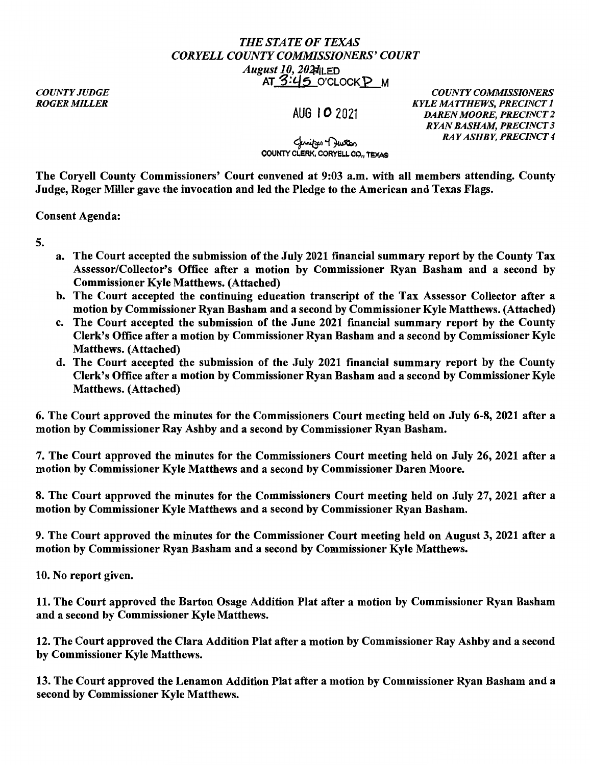## *THE STATE OF TEXAS CORYELLCOUNTYCOMMISSIONERS'COURT August 10, 202 August 10, 202 August 10*, 202 **August** 10, 202 **August** 10, 202 **August** 202 **August** 202 **August** 202 **August** 202 **August** 202 **August** 202 **August** 202 **August** 202 **August** 202 **August** 202 **Augu** AT 3:45 O'CLOCKP M

*COUNTY JUDGE ROGER MILLER* 

AUG IO 2021

*COUNTY COMMISSIONERS KYLE MATTHEWS, PRECINCT I DAREN MOORE, PRECINCT 2 RYAN BASHAM, PRECINCT 3 RAY ASHBY, PRECINCT 4* 

## لمنازعه H بستان<br>COUNTY CLERK, CORYELL CO., TEXAS

The Coryell County Commissioners' Court convened at 9:03 a.m. with all members attending. County Judge, Roger Miller gave the invocation and led the Pledge to the American and Texas Flags.

Consent Agenda:

5.

- a. The Court accepted the submission of the July 2021 financial summary report by the County Tax Assessor/Collector's Office after a motion by Commissioner Ryan Basham and a second by Commissioner Kyle Matthews. (Attached)
- b. The Court accepted the continuing education transcript of the Tax Assessor Collector after a motion by Commissioner Ryan Basham and a second by Commissioner Kyle Matthews. (Attached)
- c. The Court accepted the submission of the June 2021 financial summary report by the County Clerk's Office after a motion by Commissioner Ryan Basham and a second by Commissioner Kyle Matthews. (Attached)
- d. The Court accepted the submission of the July 2021 financial summary report by the County Clerk's Office after a motion by Commissioner Ryan Basham and a second by Commissioner Kyle Matthews. (Attached)

6. The Court approved the minutes for the Commissioners Court meeting held on July 6-8, 2021 after a motion by Commissioner Ray Ashby and a second by Commissioner Ryan Basham.

7. The Court approved the minutes for the Commissioners Court meeting held on July 26, 2021 after a motion by Commissioner Kyle Matthews and a second by Commissioner Daren Moore.

8. The Court approved the minutes for the Commissioners Court meeting held on July 27, 2021 after a motion by Commissioner Kyle Matthews and a second by Commissioner Ryan Basham.

9. The Court approved the minutes for the Commissioner Court meeting held on August 3, 2021 after a motion by Commissioner Ryan Basham and a second by Commissioner Kyle Matthews.

10. No report given.

11. The Court approved the Barton Osage Addition Plat after a motion by Commissioner Ryan Basham and a second by Commissioner Kyle Matthews.

12. The Court approved the Clara Addition Plat after a motion by Commissioner Ray Ashby and a second by Commissioner Kyle Matthews.

13. The Court approved the Lenamon Addition Plat after a motion by Commissioner Ryan Basham and a second by Commissioner Kyle Matthews.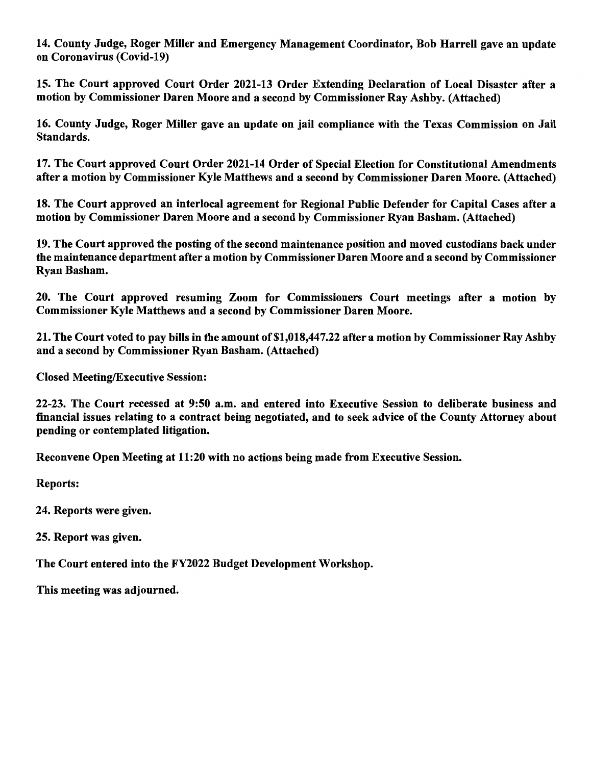14. County Judge, Roger Miller and Emergency Management Coordinator, Bob Harrell gave an update on Coronavirus (Covid-19)

15. The Court approved Court Order 2021-13 Order Extending Declaration of Local Disaster after a motion by Commissioner Daren Moore and a second by Commissioner Ray Ashby. (Attached)

16. County Judge, Roger Miller gave an update on jail compliance with the Texas Commission on Jail Standards.

17. The Court approved Court Order 2021-14 Order of Special Election for Constitutional Amendments after a motion by Commissioner Kyle Matthews and a second by Commissioner Daren Moore. (Attached)

18. The Court approved an interlocal agreement for Regional Public Defender for Capital Cases after a motion by Commissioner Daren Moore and a second by Commissioner Ryan Basham. (Attached)

19. The Court approved the posting of the second maintenance position and moved custodians back under the maintenance department after a motion by Commissioner Daren Moore and a second by Commissioner Ryan Basham.

20. The Court approved resuming Zoom for Commissioners Court meetings after a motion by Commissioner Kyle Matthews and a second by Commissioner Daren Moore.

21. The Court voted to pay bills in the amount of \$1,018,447.22 after a motion by Commissioner Ray Ashby and a second by Commissioner Ryan Basham. (Attached)

Closed Meeting/Executive Session:

22-23. The Court recessed at 9:50 a.m. and entered into Executive Session to deliberate business and financial issues relating to a contract being negotiated, and to seek advice of the County Attorney about pending or contemplated litigation.

Reconvene Open Meeting at 11:20 with no actions being made from Executive Session.

Reports:

24. Reports were given.

25. Report was given.

The Court entered into the FY2022 Budget Development Workshop.

This meeting was adjourned.